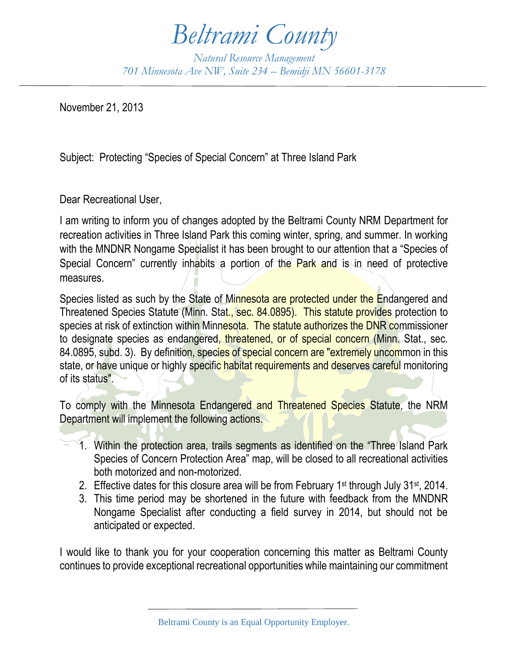## *Beltrami County*

*Natural Resource Management 701 Minnesota Ave NW, Suite 234 – Bemidji MN 56601-3178*

November 21, 2013

Subject: Protecting "Species of Special Concern" at Three Island Park

Dear Recreational User,

I am writing to inform you of changes adopted by the Beltrami County NRM Department for recreation activities in Three Island Park this coming winter, spring, and summer. In working with the MNDNR Nongame Specialist it has been brought to our attention that a "Species of Special Concern" currently inhabits a portion of the Park and is in need of protective measures.

Species listed as such by the State of Minnesota are protected under the Endangered and Threatened Species Statute (Minn. Stat., sec. 84.0895). This statute provides protection to species at risk of extinction within Minnesota. The statute authorizes the DNR commissioner to designate species as endangered, threatened, or of special concern (Minn. Stat., sec. 84.0895, subd. 3). By definition, species of special concern are "extremely uncommon in this state, or have unique or highly specific habitat requirements and deserves careful monitoring of its status".

To comply with the Minnesota Endangered and Threatened Species Statute, the NRM Department will implement the following actions.

- 1. Within the protection area, trails segments as identified on the "Three Island Park Species of Concern Protection Area" map, will be closed to all recreational activities both motorized and non-motorized.
- 2. Effective dates for this closure area will be from February 1st through July 31st, 2014.
- 3. This time period may be shortened in the future with feedback from the MNDNR Nongame Specialist after conducting a field survey in 2014, but should not be anticipated or expected.

I would like to thank you for your cooperation concerning this matter as Beltrami County continues to provide exceptional recreational opportunities while maintaining our commitment

Beltrami County is an Equal Opportunity Employer.